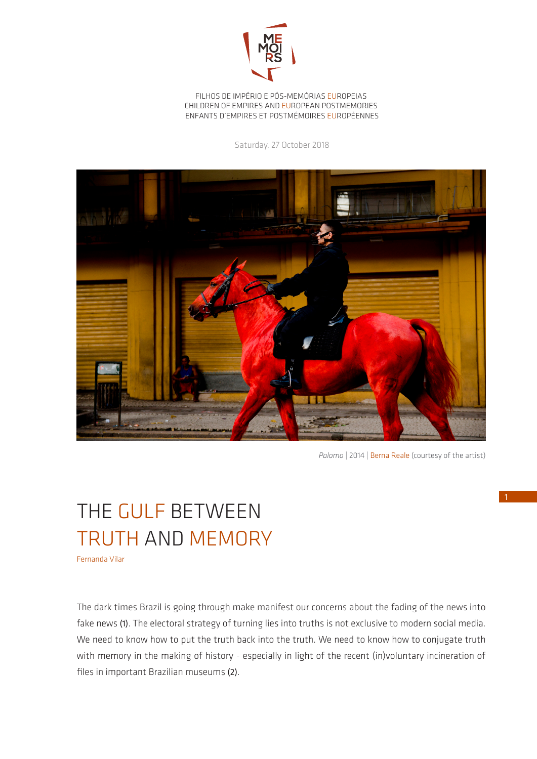

FILHOS DE IMPÉRIO E PÓS-MEMÓRIAS EUROPEIAS CHILDREN OF EMPIRES AND EUROPEAN POSTMEMORIES ENFANTS D'EMPIRES ET POSTMÉMOIRES EUROPÉENNES

Saturday, 27 October 2018



Palomo | 2014 | Berna Reale (courtesy of the artist)

## THE GULF BETWEEN TRUTH AND MEMORY

Fernanda Vilar

The dark times Brazil is going through make manifest our concerns about the fading of the news into fake news (1). The electoral strategy of turning lies into truths is not exclusive to modern social media. We need to know how to put the truth back into the truth. We need to know how to conjugate truth with memory in the making of history - especially in light of the recent (in)voluntary incineration of files in important Brazilian museums (2).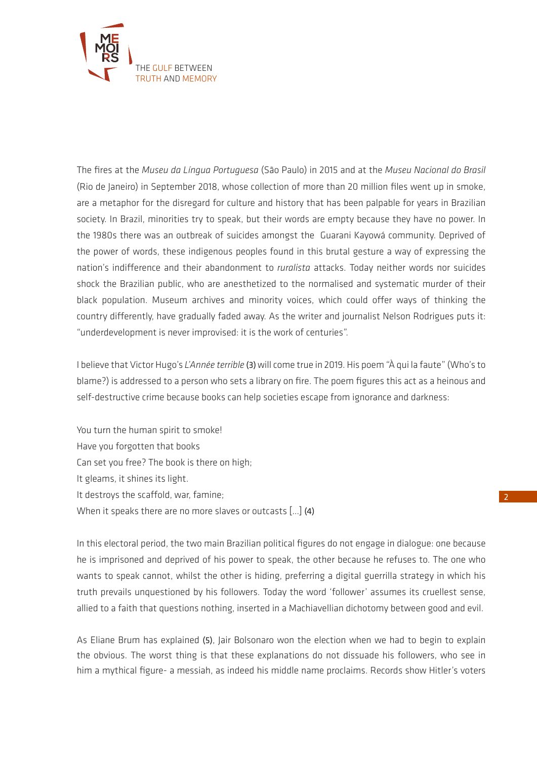

The fires at the *Museu da Língua Portuguesa* (São Paulo) in 2015 and at the *Museu Nacional do Brasil* (Rio de Janeiro) in September 2018, whose collection of more than 20 million files went up in smoke, are a metaphor for the disregard for culture and history that has been palpable for years in Brazilian society. In Brazil, minorities try to speak, but their words are empty because they have no power. In the 1980s there was an outbreak of suicides amongst the Guarani Kayowá community. Deprived of the power of words, these indigenous peoples found in this brutal gesture a way of expressing the nation's indifference and their abandonment to *ruralista* attacks. Today neither words nor suicides shock the Brazilian public, who are anesthetized to the normalised and systematic murder of their black population. Museum archives and minority voices, which could offer ways of thinking the country differently, have gradually faded away. As the writer and journalist Nelson Rodrigues puts it: "underdevelopment is never improvised: it is the work of centuries".

I believe that Victor Hugo's *L'Année terrible* (3) will come true in 2019. His poem "À qui la faute" (Who's to blame?) is addressed to a person who sets a library on fire. The poem figures this act as a heinous and self-destructive crime because books can help societies escape from ignorance and darkness:

You turn the human spirit to smoke! Have you forgotten that books Can set you free? The book is there on high; It gleams, it shines its light. It destroys the scaffold, war, famine; When it speaks there are no more slaves or outcasts […] (4)

In this electoral period, the two main Brazilian political figures do not engage in dialogue: one because he is imprisoned and deprived of his power to speak, the other because he refuses to. The one who wants to speak cannot, whilst the other is hiding, preferring a digital guerrilla strategy in which his truth prevails unquestioned by his followers. Today the word 'follower' assumes its cruellest sense, allied to a faith that questions nothing, inserted in a Machiavellian dichotomy between good and evil.

As Eliane Brum has explained (5), Jair Bolsonaro won the election when we had to begin to explain the obvious. The worst thing is that these explanations do not dissuade his followers, who see in him a mythical figure- a messiah, as indeed his middle name proclaims. Records show Hitler's voters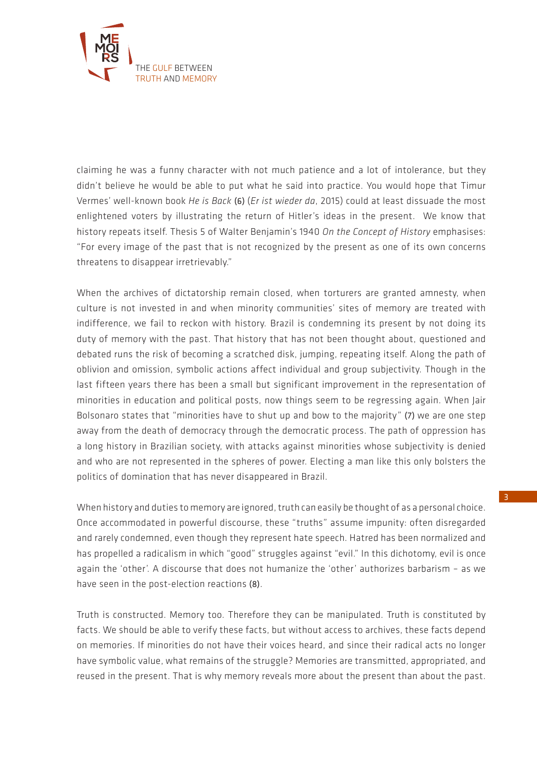

claiming he was a funny character with not much patience and a lot of intolerance, but they didn't believe he would be able to put what he said into practice. You would hope that Timur Vermes' well-known book *He is Back* (6) (*Er ist wieder da*, 2015) could at least dissuade the most enlightened voters by illustrating the return of Hitler's ideas in the present. We know that history repeats itself. Thesis 5 of Walter Benjamin's 1940 *On the Concept of History* emphasises: "For every image of the past that is not recognized by the present as one of its own concerns threatens to disappear irretrievably."

When the archives of dictatorship remain closed, when torturers are granted amnesty, when culture is not invested in and when minority communities' sites of memory are treated with indifference, we fail to reckon with history. Brazil is condemning its present by not doing its duty of memory with the past. That history that has not been thought about, questioned and debated runs the risk of becoming a scratched disk, jumping, repeating itself. Along the path of oblivion and omission, symbolic actions affect individual and group subjectivity. Though in the last fifteen years there has been a small but significant improvement in the representation of minorities in education and political posts, now things seem to be regressing again. When Jair Bolsonaro states that "minorities have to shut up and bow to the majority" (7) we are one step away from the death of democracy through the democratic process. The path of oppression has a long history in Brazilian society, with attacks against minorities whose subjectivity is denied and who are not represented in the spheres of power. Electing a man like this only bolsters the politics of domination that has never disappeared in Brazil.

When history and duties to memory are ignored, truth can easily be thought of as a personal choice. Once accommodated in powerful discourse, these "truths" assume impunity: often disregarded and rarely condemned, even though they represent hate speech. Hatred has been normalized and has propelled a radicalism in which "good" struggles against "evil." In this dichotomy, evil is once again the 'other'. A discourse that does not humanize the 'other' authorizes barbarism – as we have seen in the post-election reactions (8).

Truth is constructed. Memory too. Therefore they can be manipulated. Truth is constituted by facts. We should be able to verify these facts, but without access to archives, these facts depend on memories. If minorities do not have their voices heard, and since their radical acts no longer have symbolic value, what remains of the struggle? Memories are transmitted, appropriated, and reused in the present. That is why memory reveals more about the present than about the past.